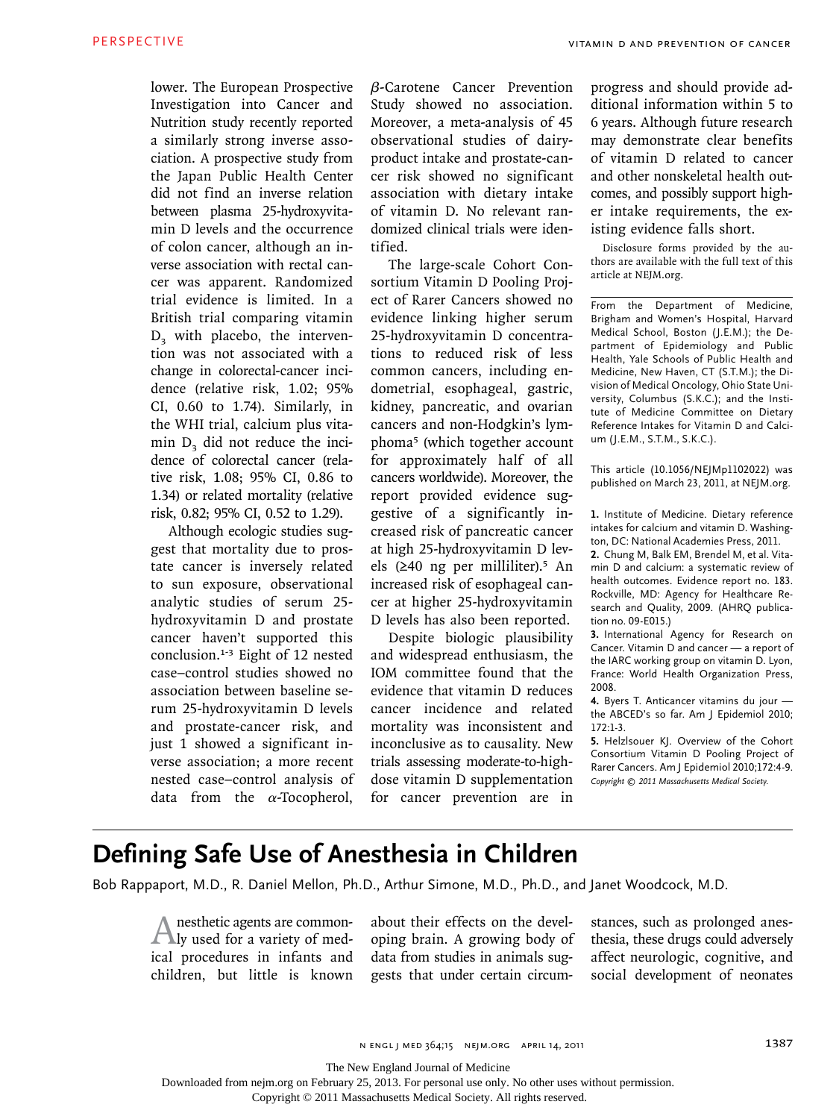lower. The European Prospective Investigation into Cancer and Nutrition study recently reported a similarly strong inverse association. A prospective study from the Japan Public Health Center did not find an inverse relation between plasma 25-hydroxyvitamin D levels and the occurrence of colon cancer, although an inverse association with rectal cancer was apparent. Randomized trial evidence is limited. In a British trial comparing vitamin  $D<sub>3</sub>$  with placebo, the intervention was not associated with a change in colorectal-cancer incidence (relative risk, 1.02; 95% CI, 0.60 to 1.74). Similarly, in the WHI trial, calcium plus vitamin D<sub>2</sub> did not reduce the incidence of colorectal cancer (relative risk, 1.08; 95% CI, 0.86 to 1.34) or related mortality (relative risk, 0.82; 95% CI, 0.52 to 1.29).

Although ecologic studies suggest that mortality due to prostate cancer is inversely related to sun exposure, observational analytic studies of serum 25hydroxyvitamin D and prostate cancer haven't supported this conclusion.1-3 Eight of 12 nested case–control studies showed no association between baseline serum 25-hydroxyvitamin D levels and prostate-cancer risk, and just 1 showed a significant inverse association; a more recent nested case–control analysis of data from the  $\alpha$ -Tocopherol,

β-Carotene Cancer Prevention Study showed no association. Moreover, a meta-analysis of 45 observational studies of dairyproduct intake and prostate-cancer risk showed no significant association with dietary intake of vitamin D. No relevant randomized clinical trials were identified.

The large-scale Cohort Consortium Vitamin D Pooling Project of Rarer Cancers showed no evidence linking higher serum 25-hydroxyvitamin D concentrations to reduced risk of less common cancers, including endometrial, esophageal, gastric, kidney, pancreatic, and ovarian cancers and non-Hodgkin's lymphoma5 (which together account for approximately half of all cancers worldwide). Moreover, the report provided evidence suggestive of a significantly increased risk of pancreatic cancer at high 25-hydroxyvitamin D levels (≥40 ng per milliliter).5 An increased risk of esophageal cancer at higher 25-hydroxyvitamin D levels has also been reported.

Despite biologic plausibility and widespread enthusiasm, the IOM committee found that the evidence that vitamin D reduces cancer incidence and related mortality was inconsistent and inconclusive as to causality. New trials assessing moderate-to-highdose vitamin D supplementation for cancer prevention are in

progress and should provide additional information within 5 to 6 years. Although future research may demonstrate clear benefits of vitamin D related to cancer and other nonskeletal health outcomes, and possibly support higher intake requirements, the existing evidence falls short.

Disclosure forms provided by the authors are available with the full text of this article at NEJM.org.

From the Department of Medicine, Brigham and Women's Hospital, Harvard Medical School, Boston (J.E.M.); the Department of Epidemiology and Public Health, Yale Schools of Public Health and Medicine, New Haven, CT (S.T.M.); the Division of Medical Oncology, Ohio State University, Columbus (S.K.C.); and the Institute of Medicine Committee on Dietary Reference Intakes for Vitamin D and Calcium (J.E.M., S.T.M., S.K.C.).

This article (10.1056/NEJMp1102022) was published on March 23, 2011, at NEJM.org.

**1.** Institute of Medicine. Dietary reference intakes for calcium and vitamin D. Washington, DC: National Academies Press, 2011.

**2.** Chung M, Balk EM, Brendel M, et al. Vitamin D and calcium: a systematic review of health outcomes. Evidence report no. 183. Rockville, MD: Agency for Healthcare Research and Quality, 2009. (AHRQ publication no. 09-E015.)

**3.** International Agency for Research on Cancer. Vitamin D and cancer — a report of the IARC working group on vitamin D. Lyon, France: World Health Organization Press, 2008.

**4.** Byers T. Anticancer vitamins du jour the ABCED's so far. Am J Epidemiol 2010; 172:1-3.

**5.** Helzlsouer KJ. Overview of the Cohort Consortium Vitamin D Pooling Project of Rarer Cancers. Am J Epidemiol 2010;172:4-9. *Copyright © 2011 Massachusetts Medical Society.*

## **Defining Safe Use of Anesthesia in Children**

Bob Rappaport, M.D., R. Daniel Mellon, Ph.D., Arthur Simone, M.D., Ph.D., and Janet Woodcock, M.D.

Anesthetic agents are common-ly used for a variety of medical procedures in infants and children, but little is known about their effects on the developing brain. A growing body of data from studies in animals suggests that under certain circumstances, such as prolonged anesthesia, these drugs could adversely affect neurologic, cognitive, and social development of neonates

The New England Journal of Medicine

Downloaded from nejm.org on February 25, 2013. For personal use only. No other uses without permission.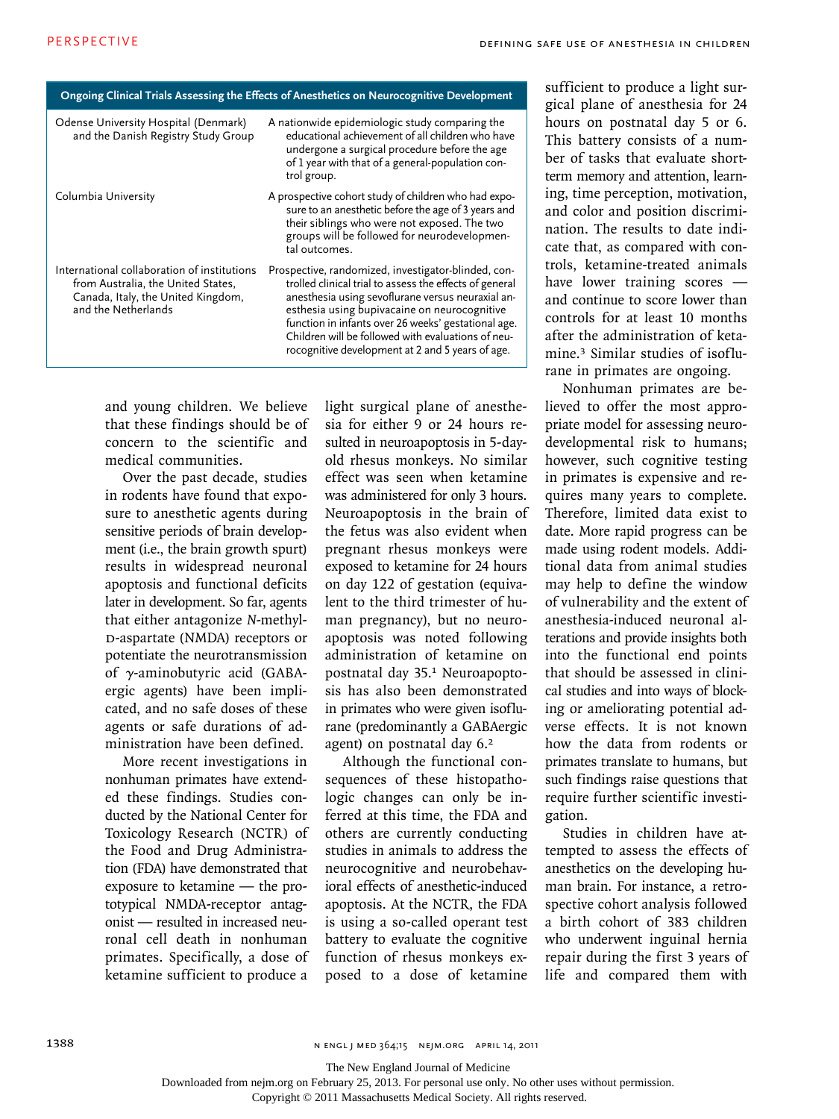| Ongoing Clinical Trials Assessing the Effects of Anesthetics on Neurocognitive Development                                                     |                                                                                                                                                                                                                                                                                                                                                                                      |
|------------------------------------------------------------------------------------------------------------------------------------------------|--------------------------------------------------------------------------------------------------------------------------------------------------------------------------------------------------------------------------------------------------------------------------------------------------------------------------------------------------------------------------------------|
| Odense University Hospital (Denmark)<br>and the Danish Registry Study Group                                                                    | A nationwide epidemiologic study comparing the<br>educational achievement of all children who have<br>undergone a surgical procedure before the age<br>of 1 year with that of a general-population con-<br>trol group.                                                                                                                                                               |
| Columbia University                                                                                                                            | A prospective cohort study of children who had expo-<br>sure to an anesthetic before the age of 3 years and<br>their siblings who were not exposed. The two<br>groups will be followed for neurodevelopmen-<br>tal outcomes.                                                                                                                                                         |
| International collaboration of institutions<br>from Australia, the United States,<br>Canada, Italy, the United Kingdom,<br>and the Netherlands | Prospective, randomized, investigator-blinded, con-<br>trolled clinical trial to assess the effects of general<br>anesthesia using sevoflurane versus neuraxial an-<br>esthesia using bupivacaine on neurocognitive<br>function in infants over 26 weeks' gestational age.<br>Children will be followed with evaluations of neu-<br>rocognitive development at 2 and 5 years of age. |

and young children. We believe that these findings should be of concern to the scientific and medical communities.

Over the past decade, studies in rodents have found that exposure to anesthetic agents during sensitive periods of brain development (i.e., the brain growth spurt) results in widespread neuronal apoptosis and functional deficits later in development. So far, agents that either antagonize *N*-methyl-D-aspartate (NMDA) receptors or potentiate the neurotransmission of γ-aminobutyric acid (GABAergic agents) have been implicated, and no safe doses of these agents or safe durations of administration have been defined.

More recent investigations in nonhuman primates have extended these findings. Studies conducted by the National Center for Toxicology Research (NCTR) of the Food and Drug Administration (FDA) have demonstrated that exposure to ketamine — the prototypical NMDA-receptor antagonist — resulted in increased neuronal cell death in nonhuman primates. Specifically, a dose of ketamine sufficient to produce a

light surgical plane of anesthesia for either 9 or 24 hours resulted in neuroapoptosis in 5-dayold rhesus monkeys. No similar effect was seen when ketamine was administered for only 3 hours. Neuroapoptosis in the brain of the fetus was also evident when pregnant rhesus monkeys were exposed to ketamine for 24 hours on day 122 of gestation (equivalent to the third trimester of human pregnancy), but no neuroapoptosis was noted following administration of ketamine on postnatal day 35.1 Neuroapoptosis has also been demonstrated in primates who were given isoflurane (predominantly a GABAergic agent) on postnatal day 6.<sup>2</sup>

Although the functional consequences of these histopathologic changes can only be inferred at this time, the FDA and others are currently conducting studies in animals to address the neurocognitive and neurobehavioral effects of anesthetic-induced apoptosis. At the NCTR, the FDA is using a so-called operant test battery to evaluate the cognitive function of rhesus monkeys exposed to a dose of ketamine sufficient to produce a light surgical plane of anesthesia for 24 hours on postnatal day 5 or 6. This battery consists of a number of tasks that evaluate shortterm memory and attention, learning, time perception, motivation, and color and position discrimination. The results to date indicate that, as compared with controls, ketamine-treated animals have lower training scores and continue to score lower than controls for at least 10 months after the administration of ketamine.3 Similar studies of isoflurane in primates are ongoing.

Nonhuman primates are believed to offer the most appropriate model for assessing neurodevelopmental risk to humans; however, such cognitive testing in primates is expensive and requires many years to complete. Therefore, limited data exist to date. More rapid progress can be made using rodent models. Additional data from animal studies may help to define the window of vulnerability and the extent of anesthesia-induced neuronal alterations and provide insights both into the functional end points that should be assessed in clinical studies and into ways of blocking or ameliorating potential adverse effects. It is not known how the data from rodents or primates translate to humans, but such findings raise questions that require further scientific investigation.

Studies in children have attempted to assess the effects of anesthetics on the developing human brain. For instance, a retrospective cohort analysis followed a birth cohort of 383 children who underwent inguinal hernia repair during the first 3 years of life and compared them with

1388 n engl j med 364;15 nejm.org april 14, 2011

The New England Journal of Medicine

Downloaded from nejm.org on February 25, 2013. For personal use only. No other uses without permission.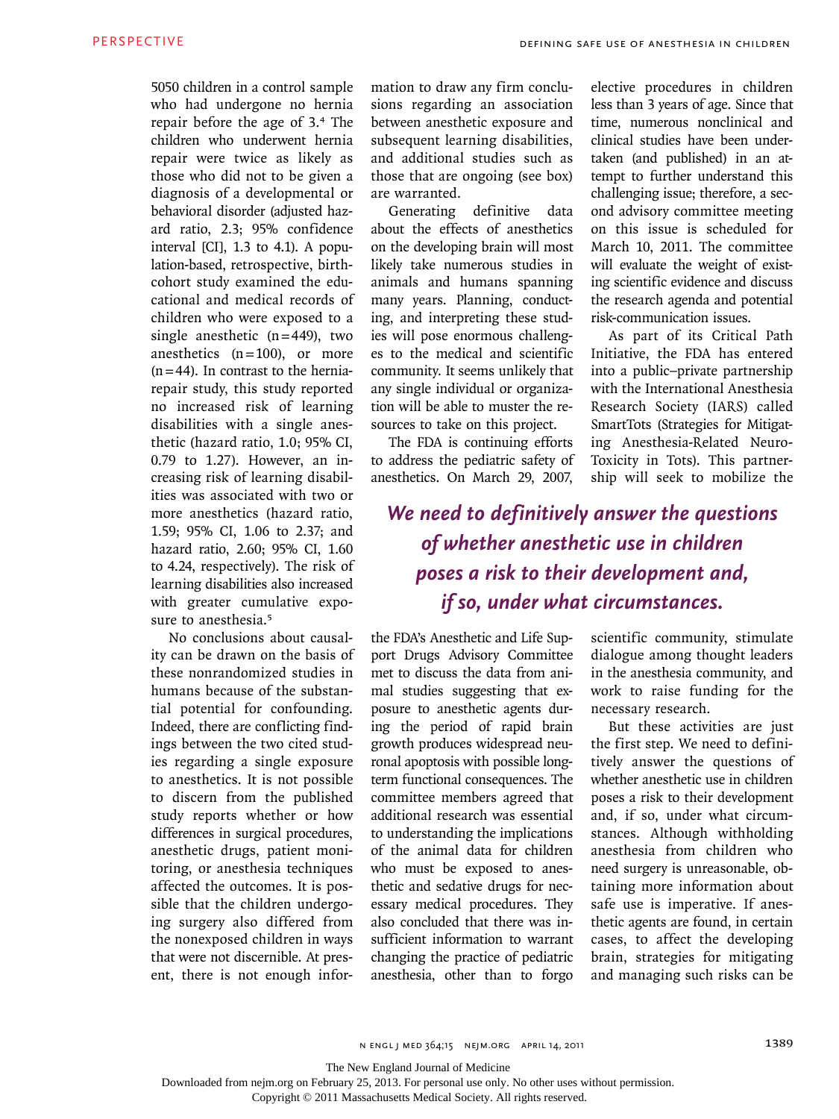5050 children in a control sample who had undergone no hernia repair before the age of 3.4 The children who underwent hernia repair were twice as likely as those who did not to be given a diagnosis of a developmental or behavioral disorder (adjusted hazard ratio, 2.3; 95% confidence interval [CI], 1.3 to 4.1). A population-based, retrospective, birthcohort study examined the educational and medical records of children who were exposed to a single anesthetic  $(n=449)$ , two anesthetics  $(n=100)$ , or more  $(n=44)$ . In contrast to the herniarepair study, this study reported no increased risk of learning disabilities with a single anesthetic (hazard ratio, 1.0; 95% CI, 0.79 to 1.27). However, an increasing risk of learning disabilities was associated with two or more anesthetics (hazard ratio, 1.59; 95% CI, 1.06 to 2.37; and hazard ratio, 2.60; 95% CI, 1.60 to 4.24, respectively). The risk of learning disabilities also increased with greater cumulative exposure to anesthesia.<sup>5</sup>

No conclusions about causality can be drawn on the basis of these nonrandomized studies in humans because of the substantial potential for confounding. Indeed, there are conflicting findings between the two cited studies regarding a single exposure to anesthetics. It is not possible to discern from the published study reports whether or how differences in surgical procedures, anesthetic drugs, patient monitoring, or anesthesia techniques affected the outcomes. It is possible that the children undergoing surgery also differed from the nonexposed children in ways that were not discernible. At present, there is not enough information to draw any firm conclusions regarding an association between anesthetic exposure and subsequent learning disabilities, and additional studies such as those that are ongoing (see box) are warranted.

Generating definitive data about the effects of anesthetics on the developing brain will most likely take numerous studies in animals and humans spanning many years. Planning, conducting, and interpreting these studies will pose enormous challenges to the medical and scientific community. It seems unlikely that any single individual or organization will be able to muster the resources to take on this project.

The FDA is continuing efforts to address the pediatric safety of anesthetics. On March 29, 2007,

elective procedures in children less than 3 years of age. Since that time, numerous nonclinical and clinical studies have been undertaken (and published) in an attempt to further understand this challenging issue; therefore, a second advisory committee meeting on this issue is scheduled for March 10, 2011. The committee will evaluate the weight of existing scientific evidence and discuss the research agenda and potential risk-communication issues.

As part of its Critical Path Initiative, the FDA has entered into a public–private partnership with the International Anesthesia Research Society (IARS) called SmartTots (Strategies for Mitigating Anesthesia-Related Neuro-Toxicity in Tots). This partnership will seek to mobilize the

## *We need to definitively answer the questions of whether anesthetic use in children poses a risk to their development and, if so, under what circumstances.*

the FDA's Anesthetic and Life Support Drugs Advisory Committee met to discuss the data from animal studies suggesting that exposure to anesthetic agents during the period of rapid brain growth produces widespread neuronal apoptosis with possible longterm functional consequences. The committee members agreed that additional research was essential to understanding the implications of the animal data for children who must be exposed to anesthetic and sedative drugs for necessary medical procedures. They also concluded that there was insufficient information to warrant changing the practice of pediatric anesthesia, other than to forgo

scientific community, stimulate dialogue among thought leaders in the anesthesia community, and work to raise funding for the necessary research.

But these activities are just the first step. We need to definitively answer the questions of whether anesthetic use in children poses a risk to their development and, if so, under what circumstances. Although withholding anesthesia from children who need surgery is unreasonable, obtaining more information about safe use is imperative. If anesthetic agents are found, in certain cases, to affect the developing brain, strategies for mitigating and managing such risks can be

The New England Journal of Medicine

Downloaded from nejm.org on February 25, 2013. For personal use only. No other uses without permission.